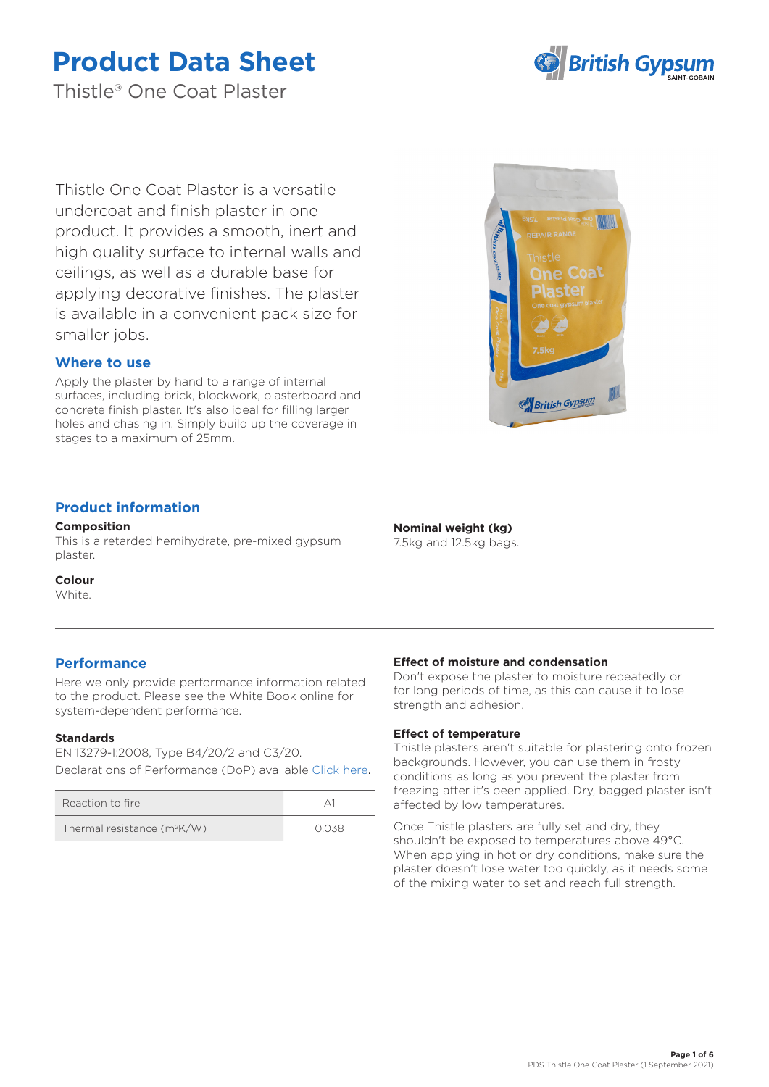

Thistle® One Coat Plaster

Thistle One Coat Plaster is a versatile undercoat and finish plaster in one product. It provides a smooth, inert and high quality surface to internal walls and ceilings, as well as a durable base for applying decorative finishes. The plaster is available in a convenient pack size for smaller jobs.

## **Where to use**

Apply the plaster by hand to a range of internal surfaces, including brick, blockwork, plasterboard and concrete finish plaster. It's also ideal for filling larger holes and chasing in. Simply build up the coverage in stages to a maximum of 25mm.

## **Product information**

#### **Composition**

This is a retarded hemihydrate, pre-mixed gypsum plaster.

**Colour**

White.

## **Performance**

Here we only provide performance information related to the product. Please see the White Book online for system-dependent performance.

## **Standards**

EN 13279-1:2008, Type B4/20/2 and C3/20. Declarations of Performance (DoP) available [Click here](https://www.british-gypsum.com/DoP).

| Reaction to fire              |      |
|-------------------------------|------|
| Thermal resistance $(m^2K/W)$ | 0038 |



#### **Nominal weight (kg)** 7.5kg and 12.5kg bags.

## **Effect of moisture and condensation**

Don't expose the plaster to moisture repeatedly or for long periods of time, as this can cause it to lose strength and adhesion.

## **Effect of temperature**

Thistle plasters aren't suitable for plastering onto frozen backgrounds. However, you can use them in frosty conditions as long as you prevent the plaster from freezing after it's been applied. Dry, bagged plaster isn't affected by low temperatures.

Once Thistle plasters are fully set and dry, they shouldn't be exposed to temperatures above 49°C. When applying in hot or dry conditions, make sure the plaster doesn't lose water too quickly, as it needs some of the mixing water to set and reach full strength.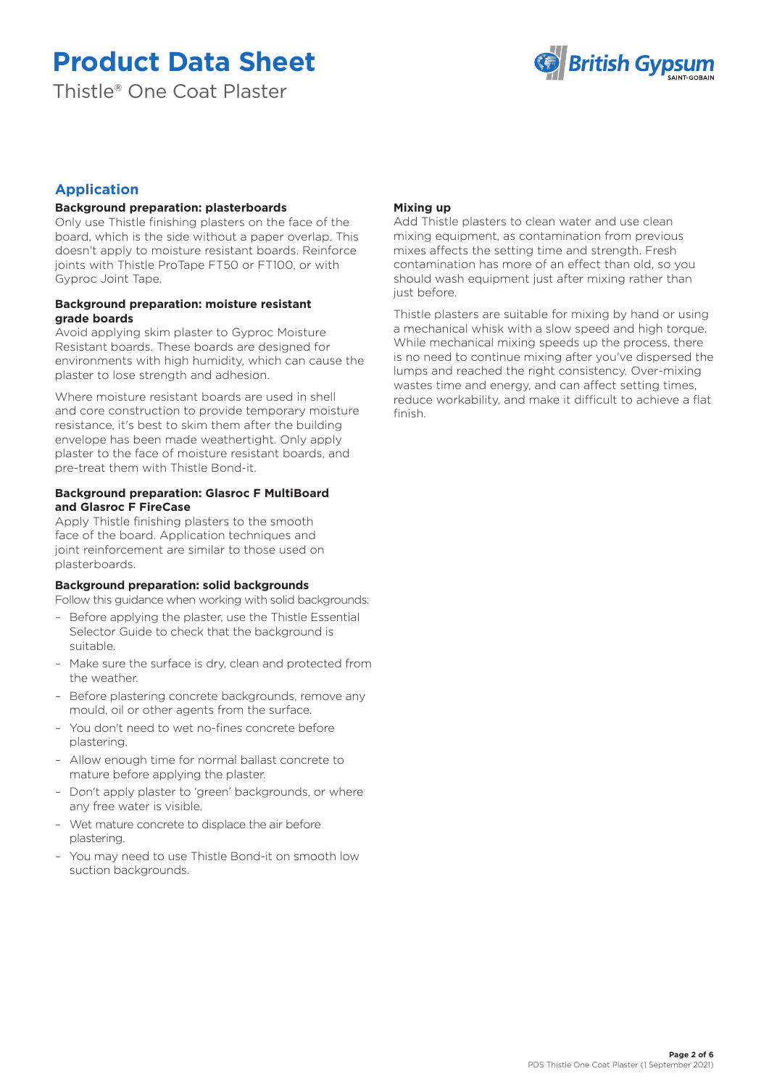Thistle® One Coat Plaster



## **Application**

## **Background preparation: plasterboards**

Only use Thistle finishing plasters on the face of the board, which is the side without a paper overlap. This doesn't apply to moisture resistant boards. Reinforce joints with Thistle ProTape FT50 or FT100, or with Gyproc Joint Tape.

## **Background preparation: moisture resistant grade boards**

Avoid applying skim plaster to Gyproc Moisture Resistant boards. These boards are designed for environments with high humidity, which can cause the plaster to lose strength and adhesion.

Where moisture resistant boards are used in shell and core construction to provide temporary moisture resistance, it's best to skim them after the building envelope has been made weathertight. Only apply plaster to the face of moisture resistant boards, and pre-treat them with Thistle Bond-it.

### **Background preparation: Glasroc F MultiBoard and Glasroc F FireCase**

Apply Thistle finishing plasters to the smooth face of the board. Application techniques and joint reinforcement are similar to those used on plasterboards.

## **Background preparation: solid backgrounds**

Follow this guidance when working with solid backgrounds:

- Before applying the plaster, use the Thistle Essential Selector Guide to check that the background is suitable.
- Make sure the surface is dry, clean and protected from the weather.
- Before plastering concrete backgrounds, remove any mould, oil or other agents from the surface.
- You don't need to wet no-fines concrete before plastering.
- Allow enough time for normal ballast concrete to mature before applying the plaster.
- Don't apply plaster to 'green' backgrounds, or where any free water is visible.
- Wet mature concrete to displace the air before plastering.
- You may need to use Thistle Bond-it on smooth low suction backgrounds.

## **Mixing up**

Add Thistle plasters to clean water and use clean mixing equipment, as contamination from previous mixes affects the setting time and strength. Fresh contamination has more of an effect than old, so you should wash equipment just after mixing rather than just before.

Thistle plasters are suitable for mixing by hand or using a mechanical whisk with a slow speed and high torque. While mechanical mixing speeds up the process, there is no need to continue mixing after you've dispersed the lumps and reached the right consistency. Over-mixing wastes time and energy, and can affect setting times, reduce workability, and make it difficult to achieve a flat finish.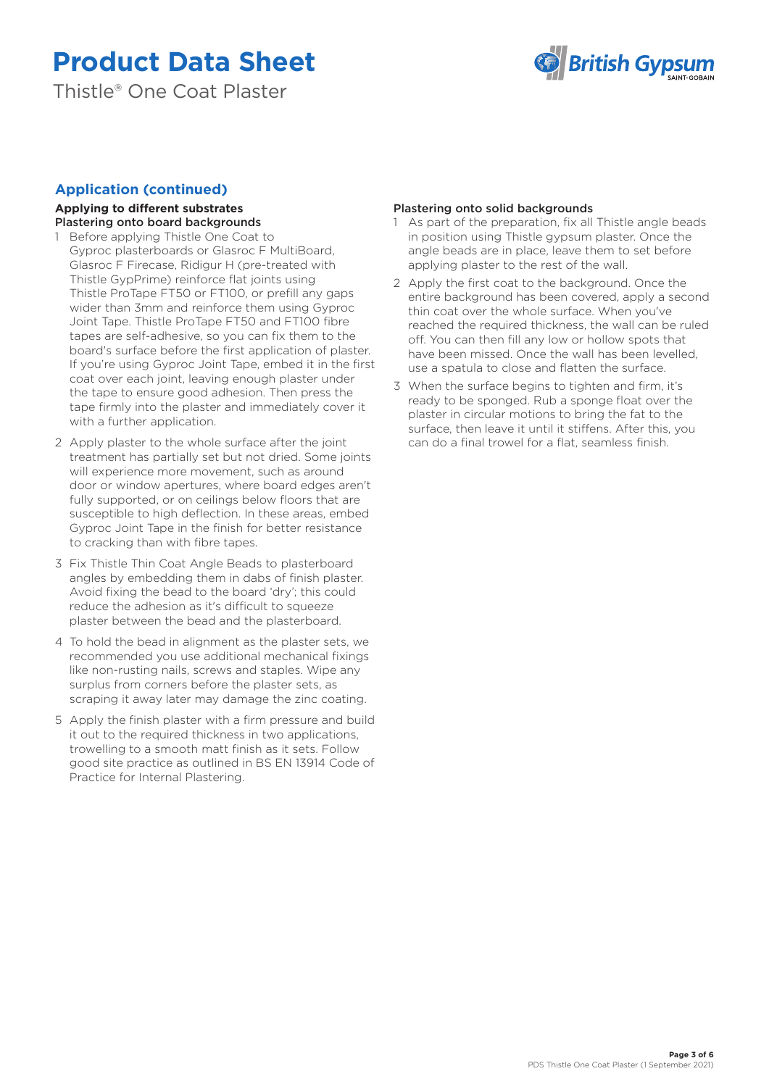Thistle® One Coat Plaster



## **Application (continued)**

#### **Applying to different substrates** Plastering onto board backgrounds

- 1 Before applying Thistle One Coat to Gyproc plasterboards or Glasroc F MultiBoard, Glasroc F Firecase, Ridigur H (pre-treated with Thistle GypPrime) reinforce flat joints using Thistle ProTape FT50 or FT100, or prefill any gaps wider than 3mm and reinforce them using Gyproc Joint Tape. Thistle ProTape FT50 and FT100 fibre tapes are self-adhesive, so you can fix them to the board's surface before the first application of plaster. If you're using Gyproc Joint Tape, embed it in the first coat over each joint, leaving enough plaster under the tape to ensure good adhesion. Then press the tape firmly into the plaster and immediately cover it with a further application.
- 2 Apply plaster to the whole surface after the joint treatment has partially set but not dried. Some joints will experience more movement, such as around door or window apertures, where board edges aren't fully supported, or on ceilings below floors that are susceptible to high deflection. In these areas, embed Gyproc Joint Tape in the finish for better resistance to cracking than with fibre tapes.
- 3 Fix Thistle Thin Coat Angle Beads to plasterboard angles by embedding them in dabs of finish plaster. Avoid fixing the bead to the board 'dry'; this could reduce the adhesion as it's difficult to squeeze plaster between the bead and the plasterboard.
- 4 To hold the bead in alignment as the plaster sets, we recommended you use additional mechanical fixings like non-rusting nails, screws and staples. Wipe any surplus from corners before the plaster sets, as scraping it away later may damage the zinc coating.
- 5 Apply the finish plaster with a firm pressure and build it out to the required thickness in two applications, trowelling to a smooth matt finish as it sets. Follow good site practice as outlined in BS EN 13914 Code of Practice for Internal Plastering.

## Plastering onto solid backgrounds

- 1 As part of the preparation, fix all Thistle angle beads in position using Thistle gypsum plaster. Once the angle beads are in place, leave them to set before applying plaster to the rest of the wall.
- 2 Apply the first coat to the background. Once the entire background has been covered, apply a second thin coat over the whole surface. When you've reached the required thickness, the wall can be ruled off. You can then fill any low or hollow spots that have been missed. Once the wall has been levelled, use a spatula to close and flatten the surface.
- 3 When the surface begins to tighten and firm, it's ready to be sponged. Rub a sponge float over the plaster in circular motions to bring the fat to the surface, then leave it until it stiffens. After this, you can do a final trowel for a flat, seamless finish.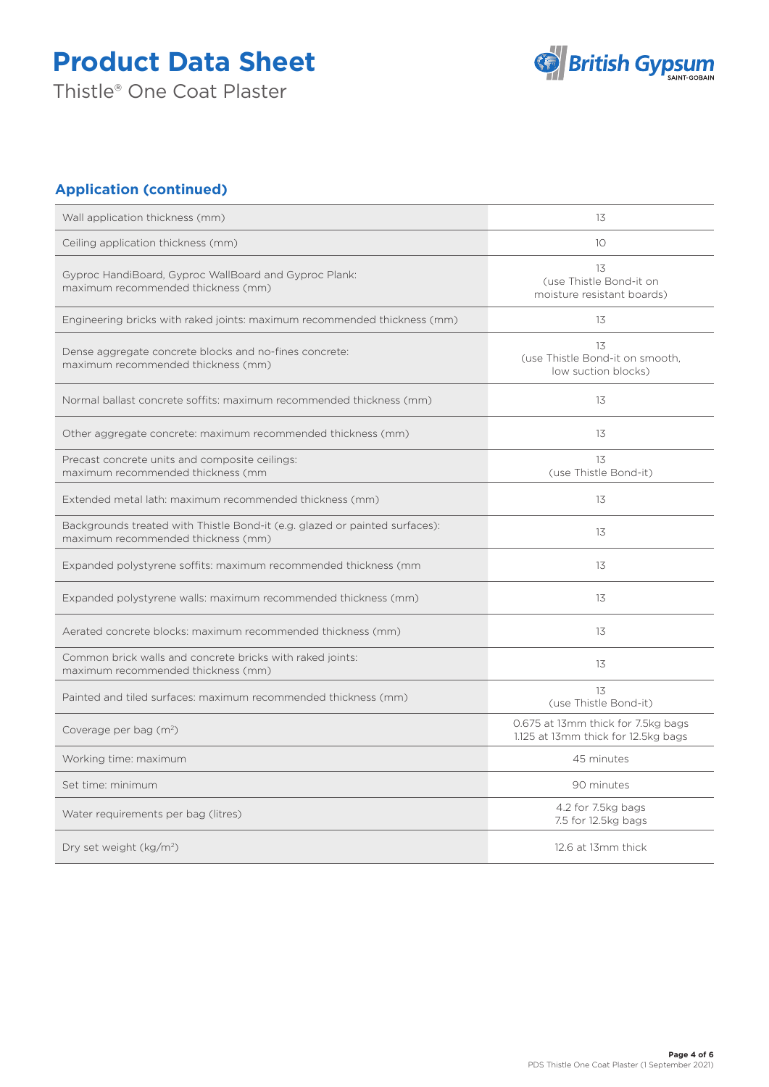Thistle® One Coat Plaster



## **Application (continued)**

| Wall application thickness (mm)                                                                                   | 13                                                                        |
|-------------------------------------------------------------------------------------------------------------------|---------------------------------------------------------------------------|
| Ceiling application thickness (mm)                                                                                | 10                                                                        |
| Gyproc HandiBoard, Gyproc WallBoard and Gyproc Plank:<br>maximum recommended thickness (mm)                       | 13<br>(use Thistle Bond-it on<br>moisture resistant boards)               |
| Engineering bricks with raked joints: maximum recommended thickness (mm)                                          | 13                                                                        |
| Dense aggregate concrete blocks and no-fines concrete:<br>maximum recommended thickness (mm)                      | 13<br>(use Thistle Bond-it on smooth,<br>low suction blocks)              |
| Normal ballast concrete soffits: maximum recommended thickness (mm)                                               | 13                                                                        |
| Other aggregate concrete: maximum recommended thickness (mm)                                                      | 13                                                                        |
| Precast concrete units and composite ceilings:<br>maximum recommended thickness (mm                               | 13<br>(use Thistle Bond-it)                                               |
| Extended metal lath: maximum recommended thickness (mm)                                                           | 13                                                                        |
| Backgrounds treated with Thistle Bond-it (e.g. glazed or painted surfaces):<br>maximum recommended thickness (mm) | 13                                                                        |
| Expanded polystyrene soffits: maximum recommended thickness (mm                                                   | 13                                                                        |
| Expanded polystyrene walls: maximum recommended thickness (mm)                                                    | 13                                                                        |
| Aerated concrete blocks: maximum recommended thickness (mm)                                                       | 13                                                                        |
| Common brick walls and concrete bricks with raked joints:<br>maximum recommended thickness (mm)                   | 13                                                                        |
| Painted and tiled surfaces: maximum recommended thickness (mm)                                                    | 13<br>(use Thistle Bond-it)                                               |
| Coverage per bag (m <sup>2</sup> )                                                                                | 0.675 at 13mm thick for 7.5kg bags<br>1.125 at 13mm thick for 12.5kg bags |
| Working time: maximum                                                                                             | 45 minutes                                                                |
| Set time: minimum                                                                                                 | 90 minutes                                                                |
| Water requirements per bag (litres)                                                                               | 4.2 for 7.5kg bags<br>7.5 for 12.5kg bags                                 |
| Dry set weight (kg/m <sup>2</sup> )                                                                               | 12.6 at 13mm thick                                                        |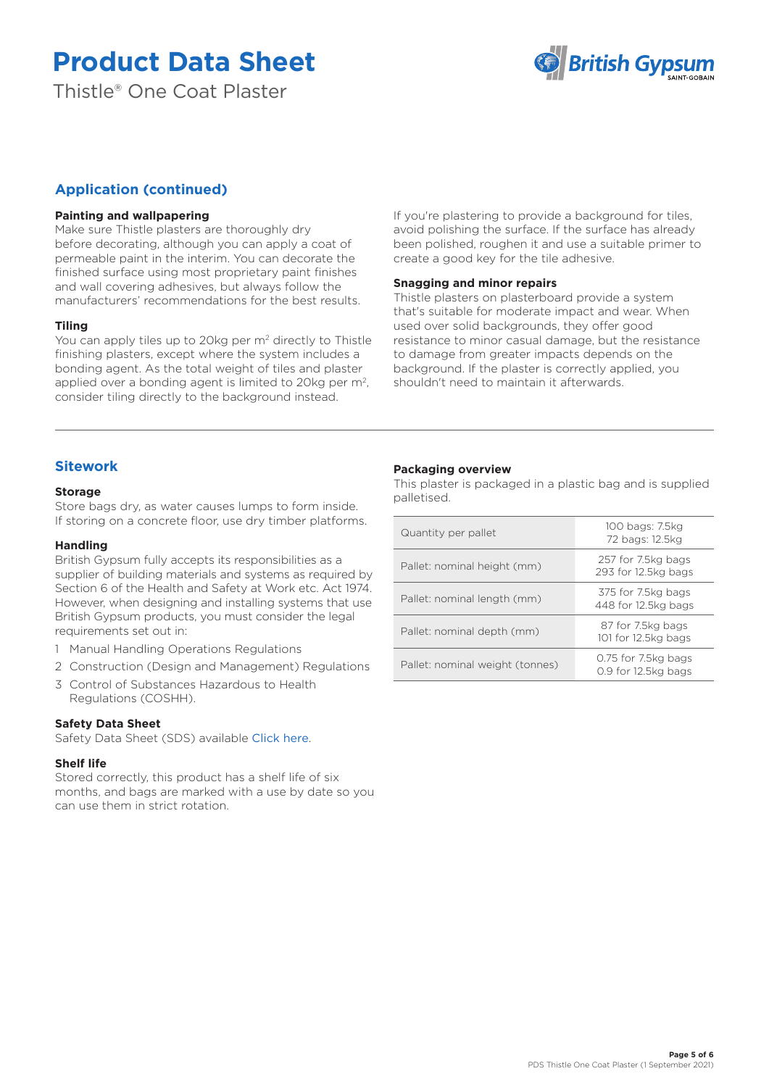Thistle® One Coat Plaster



## **Application (continued)**

### **Painting and wallpapering**

Make sure Thistle plasters are thoroughly dry before decorating, although you can apply a coat of permeable paint in the interim. You can decorate the finished surface using most proprietary paint finishes and wall covering adhesives, but always follow the manufacturers' recommendations for the best results.

#### **Tiling**

You can apply tiles up to 20kg per m<sup>2</sup> directly to Thistle finishing plasters, except where the system includes a bonding agent. As the total weight of tiles and plaster applied over a bonding agent is limited to 20kg per m<sup>2</sup>, consider tiling directly to the background instead.

If you're plastering to provide a background for tiles, avoid polishing the surface. If the surface has already been polished, roughen it and use a suitable primer to create a good key for the tile adhesive.

#### **Snagging and minor repairs**

Thistle plasters on plasterboard provide a system that's suitable for moderate impact and wear. When used over solid backgrounds, they offer good resistance to minor casual damage, but the resistance to damage from greater impacts depends on the background. If the plaster is correctly applied, you shouldn't need to maintain it afterwards.

## **Sitework**

#### **Storage**

Store bags dry, as water causes lumps to form inside. If storing on a concrete floor, use dry timber platforms.

### **Handling**

British Gypsum fully accepts its responsibilities as a supplier of building materials and systems as required by Section 6 of the Health and Safety at Work etc. Act 1974. However, when designing and installing systems that use British Gypsum products, you must consider the legal requirements set out in:

- 1 Manual Handling Operations Regulations
- 2 Construction (Design and Management) Regulations
- 3 Control of Substances Hazardous to Health Regulations (COSHH).

#### **Safety Data Sheet**

Safety Data Sheet (SDS) available [Click here](https://www.british-gypsum.com/SDS).

#### **Shelf life**

Stored correctly, this product has a shelf life of six months, and bags are marked with a use by date so you can use them in strict rotation.

## **Packaging overview**

This plaster is packaged in a plastic bag and is supplied palletised.

| Quantity per pallet             | 100 bags: 7.5kg<br>72 bags: 12.5kg         |
|---------------------------------|--------------------------------------------|
| Pallet: nominal height (mm)     | 257 for 7.5kg bags<br>293 for 12.5kg bags  |
| Pallet: nominal length (mm)     | 375 for 7.5kg bags<br>448 for 12.5kg bags  |
| Pallet: nominal depth (mm)      | 87 for 7.5kg bags<br>101 for 12.5kg bags   |
| Pallet: nominal weight (tonnes) | 0.75 for 7.5kg bags<br>0.9 for 12.5kg bags |